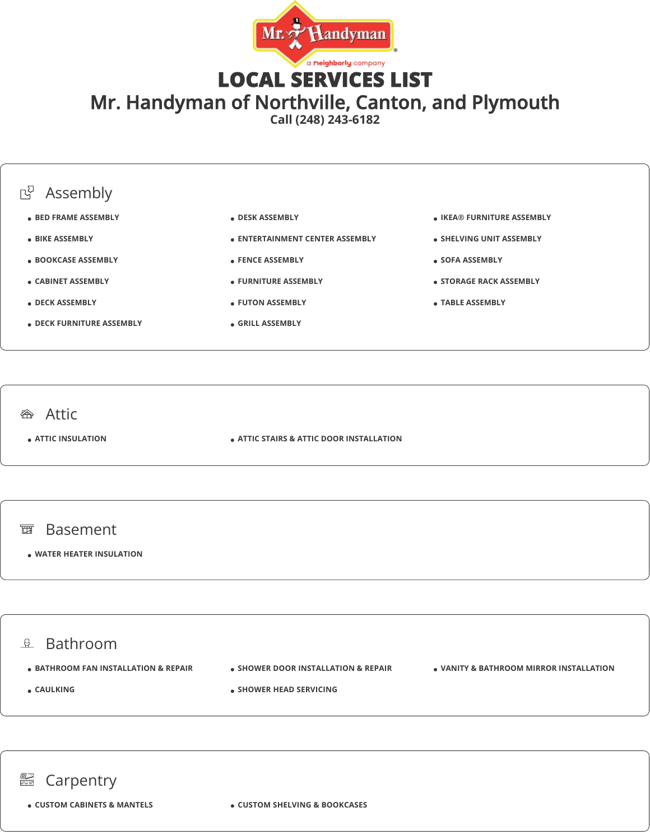

LOCAL SERVICES LIST

Mr. Handyman of Northville, Canton, and Plymouth

**Call (248) 243-6182**



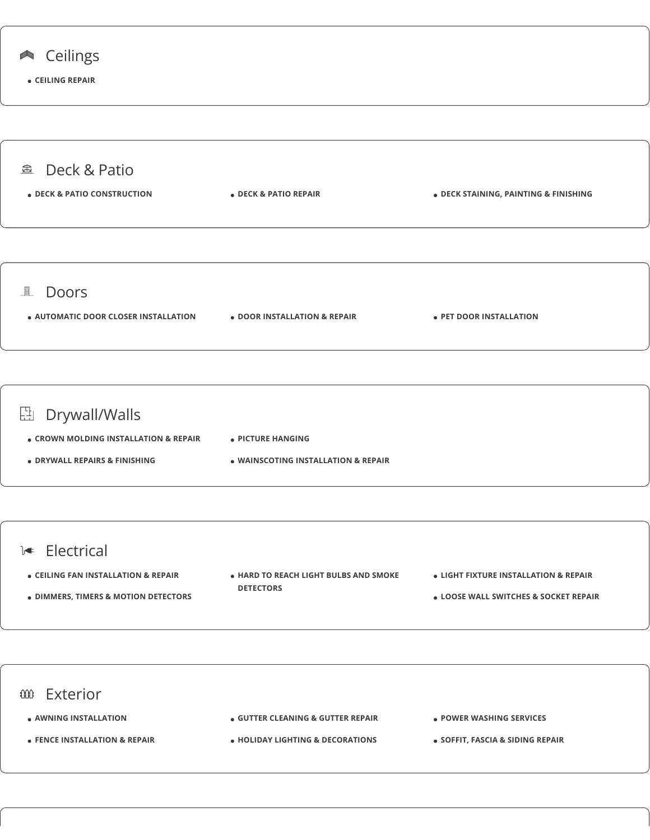

![](_page_1_Figure_1.jpeg)

## **L** Electrical

**CEILING FAN INSTALLATION & REPAIR**

**DIMMERS, TIMERS & MOTION DETECTORS**

- **HARD TO REACH LIGHT BULBS AND SMOKE DETECTORS**
- **LIGHT FIXTURE INSTALLATION & REPAIR**
- **LOOSE WALL SWITCHES & SOCKET REPAIR**

![](_page_1_Figure_7.jpeg)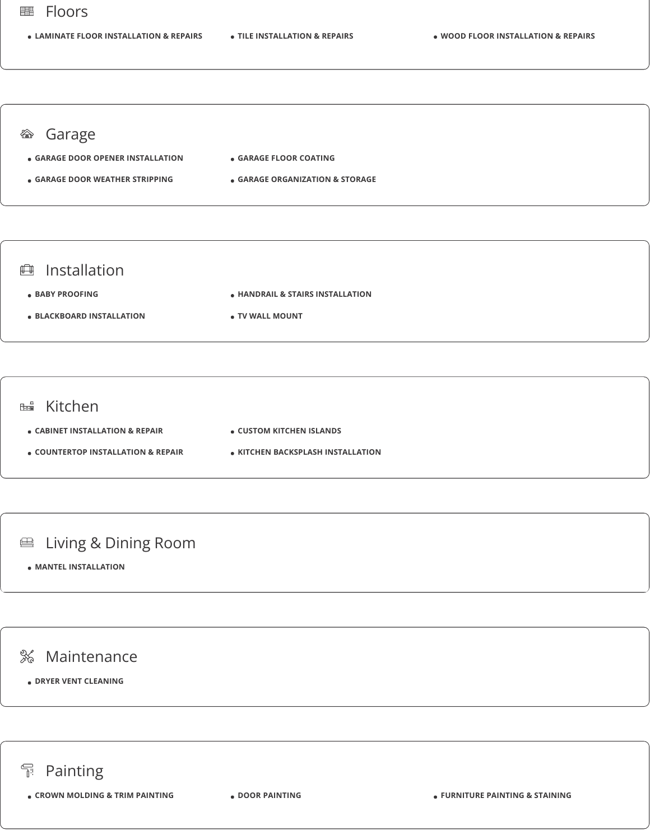#### Floors 鼺

**LAMINATE FLOOR INSTALLATION & REPAIRS TILE INSTALLATION & REPAIRS WOOD FLOOR INSTALLATION & REPAIRS**

#### <sup>*S* **Garage</sup>**

- **GARAGE DOOR OPENER INSTALLATION GARAGE FLOOR COATING**
- **GARAGE DOOR WEATHER STRIPPING**
- **GARAGE ORGANIZATION & STORAGE**

## **曲** Installation

- **BABY PROOFING**
- **BLACKBOARD INSTALLATION**
- 

**TV WALL MOUNT**

**HANDRAIL & STAIRS INSTALLATION**

### **EB** Kitchen

- **CABINET INSTALLATION & REPAIR**
- **CUSTOM KITCHEN ISLANDS**
- **COUNTERTOP INSTALLATION & REPAIR**
- **KITCHEN BACKSPLASH INSTALLATION**

# **■ Living & Dining Room**

**MANTEL INSTALLATION**

# % Maintenance

**DRYER VENT CLEANING**

# **Painting**

**CROWN MOLDING & TRIM PAINTING DOOR PAINTING FURNITURE PAINTING & STAINING**